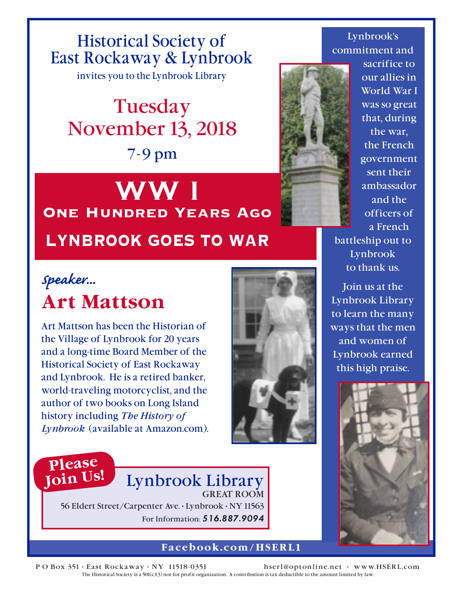Historical Society of East Rockaway & Lynbrook

invites you to the Lynbrook Library

# Tuesday November 13, 2018 7-9 pm

# **WW I One Hundred Years Ago LYNBROOK GOES TO WAR**

## *Speaker...* **Art Mattson**

Art Mattson has been the Historian of the Village of Lynbrook for 20 years and a long-time Board Member of the Historical Society of East Rockaway and Lynbrook. He is a retired banker, world-traveling motorcyclist, and the author of two books on Long Island history including *The History of Lynbrook* (available at Amazon.com).



#### Lynbrook's commitment and



sacrifice to our allies in World War I was so great that, during the war, the French government sent their ambassador and the officers of a French

battleship out to Lynbrook to thank us.

Join us at the Lynbrook Library to learn the many ways that the men and women of Lynbrook earned this high praise.



### **Please Join Us!**

### Lynbrook Library GREAT ROOM

56 Eldert Street/Carpenter Ave. • Lynbrook • NY 11563 For Information: **516.887.9094**

#### **Facebook.com/HSERL1**

PO Box 351 · East Rockaway · NY 11518-0351 hserl@optonline.net · www.HSERL.com The Historical Society is a 501(c)(3) not-for profit organization. A contribution is tax deductible to the amount limited by law.